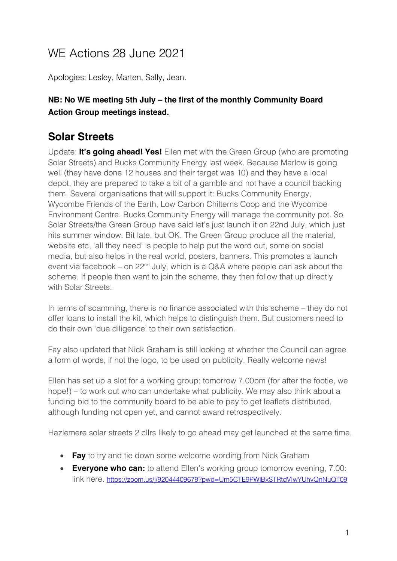# WE Actions 28 June 2021

Apologies: Lesley, Marten, Sally, Jean.

#### **NB: No WE meeting 5th July – the first of the monthly Community Board Action Group meetings instead.**

## **Solar Streets**

Update: **It's going ahead! Yes!** Ellen met with the Green Group (who are promoting Solar Streets) and Bucks Community Energy last week. Because Marlow is going well (they have done 12 houses and their target was 10) and they have a local depot, they are prepared to take a bit of a gamble and not have a council backing them. Several organisations that will support it: Bucks Community Energy, Wycombe Friends of the Earth, Low Carbon Chilterns Coop and the Wycombe Environment Centre. Bucks Community Energy will manage the community pot. So Solar Streets/the Green Group have said let's just launch it on 22nd July, which just hits summer window. Bit late, but OK. The Green Group produce all the material, website etc, 'all they need' is people to help put the word out, some on social media, but also helps in the real world, posters, banners. This promotes a launch event via facebook – on  $22<sup>nd</sup>$  July, which is a Q&A where people can ask about the scheme. If people then want to join the scheme, they then follow that up directly with Solar Streets.

In terms of scamming, there is no finance associated with this scheme – they do not offer loans to install the kit, which helps to distinguish them. But customers need to do their own 'due diligence' to their own satisfaction.

Fay also updated that Nick Graham is still looking at whether the Council can agree a form of words, if not the logo, to be used on publicity. Really welcome news!

Ellen has set up a slot for a working group: tomorrow 7.00pm (for after the footie, we hope!) – to work out who can undertake what publicity. We may also think about a funding bid to the community board to be able to pay to get leaflets distributed, although funding not open yet, and cannot award retrospectively.

Hazlemere solar streets 2 cllrs likely to go ahead may get launched at the same time.

- **Fay** to try and tie down some welcome wording from Nick Graham
- **Everyone who can:** to attend Ellen's working group tomorrow evening, 7.00: link here. https://zoom.us/j/92044409679?pwd=Um5CTE9PWjBxSTRtdVIwYUhvQnNuQT09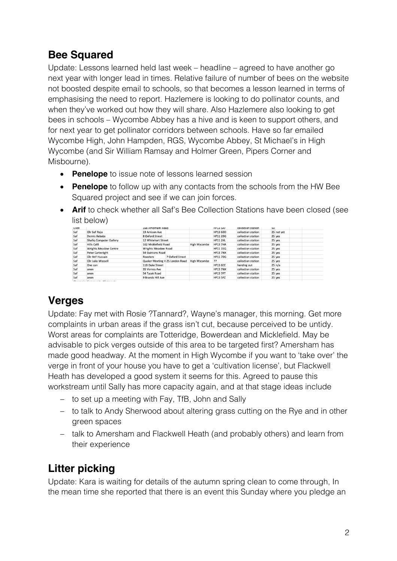## **Bee Squared**

Update: Lessons learned held last week – headline – agreed to have another go next year with longer lead in times. Relative failure of number of bees on the website not boosted despite email to schools, so that becomes a lesson learned in terms of emphasising the need to report. Hazlemere is looking to do pollinator counts, and when they've worked out how they will share. Also Hazlemere also looking to get bees in schools – Wycombe Abbey has a hive and is keen to support others, and for next year to get pollinator corridors between schools. Have so far emailed Wycombe High, John Hampden, RGS, Wycombe Abbey, St Michael's in High Wycombe (and Sir William Ramsay and Holmer Green, Pipers Corner and Misbourne).

- **Penelope** to issue note of lessons learned session
- **Penelope** to follow up with any contacts from the schools from the HW Bee Squared project and see if we can join forces.
- **Arif** to check whether all Saf's Bee Collection Stations have been closed (see list below)

| cuen |                                | 108 Ameriam Koag                |                     | TIME CINI       | conection station  | <b>JU</b> |             |  |
|------|--------------------------------|---------------------------------|---------------------|-----------------|--------------------|-----------|-------------|--|
| Saf  | Cllr Saf Raja                  | 19 Arnison Ave                  |                     | <b>HP13 6DD</b> | collection station |           | 25 not yet  |  |
| Saf  | Dennis Kebabs                  | 8 Oxford Street                 |                     | <b>HP11 2DG</b> | collection station |           | 25 yes      |  |
| Saf  | <b>Shafiq Computer Gallery</b> | 12 Whitehart Street             |                     | <b>HP11 2HL</b> | collection station |           | 25 yes      |  |
| Saf  | Hills Café                     | 162 Micklefield Road            | High Wycombe        | <b>HP13 7HA</b> | collection station |           | 25 yes      |  |
| Saf  | <b>Wrights Meadow Centre</b>   | <b>Wrights Meadow Road</b>      |                     | <b>HP11 1SQ</b> | collection station |           | 25 yes      |  |
| Saf  | Peter Cartwright               | 54 Guinions Road                |                     | <b>HP13 7NX</b> | collection station |           | 25 yes      |  |
| Saf  | Cllr Arif Hussain              | 7 Oxford Street<br>Roosters     |                     | <b>HP11 7DG</b> | collection station |           | 25 yes      |  |
| Saf  | Cllr Julia Wassell             | Quaker Meeting H 25 London Road | <b>High Wycombe</b> | 77              | collection station |           | 25 yes      |  |
| Saf  | One can                        | 11B Duke Street                 |                     | <b>HP13 6EE</b> | handing out        |           | $25 \n n/a$ |  |
| Saf  | anon                           | 35 Verney Ave                   |                     | <b>HP13 7NX</b> | collection station |           | 25 yes      |  |
| Saf  | anon                           | 54 Tyzak Road                   |                     | <b>HP13 7PT</b> | collection station |           | 25 yes      |  |
| Saf  | anon                           | 9 Brands Hill Ave               |                     | <b>HP13 5PZ</b> | collection station |           | 25 yes      |  |

## **Verges**

Update: Fay met with Rosie ?Tannard?, Wayne's manager, this morning. Get more complaints in urban areas if the grass isn't cut, because perceived to be untidy. Worst areas for complaints are Totteridge, Bowerdean and Micklefield. May be advisable to pick verges outside of this area to be targeted first? Amersham has made good headway. At the moment in High Wycombe if you want to 'take over' the verge in front of your house you have to get a 'cultivation license', but Flackwell Heath has developed a good system it seems for this. Agreed to pause this workstream until Sally has more capacity again, and at that stage ideas include

- to set up a meeting with Fay, TfB, John and Sally
- to talk to Andy Sherwood about altering grass cutting on the Rye and in other green spaces
- talk to Amersham and Flackwell Heath (and probably others) and learn from their experience

## **Litter picking**

Update: Kara is waiting for details of the autumn spring clean to come through, In the mean time she reported that there is an event this Sunday where you pledge an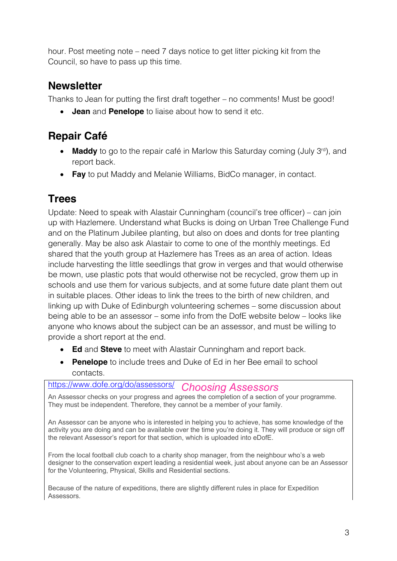hour. Post meeting note – need 7 days notice to get litter picking kit from the Council, so have to pass up this time.

## **Newsletter**

Thanks to Jean for putting the first draft together – no comments! Must be good!

• **Jean** and **Penelope** to liaise about how to send it etc.

## **Repair Café**

- **Maddy** to go to the repair café in Marlow this Saturday coming (July 3<sup>rd</sup>), and report back.
- **Fay** to put Maddy and Melanie Williams, BidCo manager, in contact.

## **Trees**

Update: Need to speak with Alastair Cunningham (council's tree officer) – can join up with Hazlemere. Understand what Bucks is doing on Urban Tree Challenge Fund and on the Platinum Jubilee planting, but also on does and donts for tree planting generally. May be also ask Alastair to come to one of the monthly meetings. Ed shared that the youth group at Hazlemere has Trees as an area of action. Ideas include harvesting the little seedlings that grow in verges and that would otherwise be mown, use plastic pots that would otherwise not be recycled, grow them up in schools and use them for various subjects, and at some future date plant them out in suitable places. Other ideas to link the trees to the birth of new children, and linking up with Duke of Edinburgh volunteering schemes – some discussion about being able to be an assessor – some info from the DofE website below – looks like anyone who knows about the subject can be an assessor, and must be willing to provide a short report at the end.

- **Ed** and **Steve** to meet with Alastair Cunningham and report back.
- **Penelope** to include trees and Duke of Ed in her Bee email to school contacts.

#### https://www.dofe.org/do/assessors/ *Choosing Assessors*

An Assessor checks on your progress and agrees the completion of a section of your programme. They must be independent. Therefore, they cannot be a member of your family.

An Assessor can be anyone who is interested in helping you to achieve, has some knowledge of the activity you are doing and can be available over the time you're doing it. They will produce or sign off the relevant Assessor's report for that section, which is uploaded into eDofE.

From the local football club coach to a charity shop manager, from the neighbour who's a web designer to the conservation expert leading a residential week, just about anyone can be an Assessor for the Volunteering, Physical, Skills and Residential sections.

Because of the nature of expeditions, there are slightly different rules in place for Expedition Assessors.